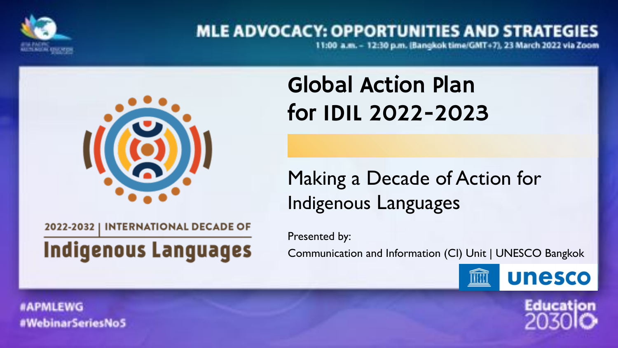

## **MLE ADVOCACY: OPPORTUNITIES AND STRATEGIES**

11:00 a.m. - 12:30 p.m. (Bangkok time/GMT+7), 23 March 2022 via Zoom



2022-2032 | INTERNATIONAL DECADE OF **Indigenous Languages** 

# Global Action Plan for IDIL 2022-2023

## Making a Decade of Action for Indigenous Languages

Presented by:

Communication and Information (CI) Unit | UNESCO Bangkok



**Education** 

**#APMLEWG** #WebinarSeriesNoS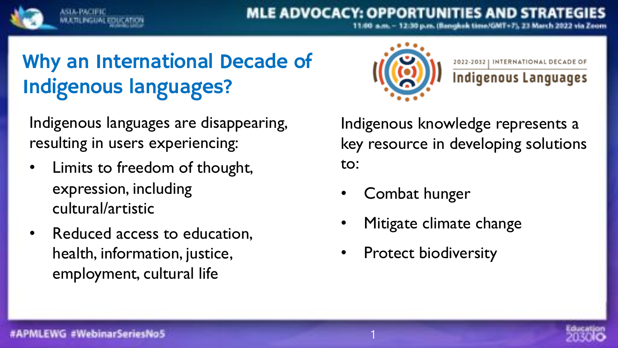#### E ADVOCACY: OPPORTUNITIES AND STR

ISIangkok Umw/GMT+7), 23

# Why an International Decade of Indigenous languages?

Indigenous languages are disappearing, resulting in users experiencing:

- Limits to freedom of thought, expression, including cultural/artistic
- Reduced access to education, health, information, justice, employment, cultural life



Indigenous knowledge represents a key resource in developing solutions to:

- Combat hunger
- Mitigate climate change
- Protect biodiversity

1

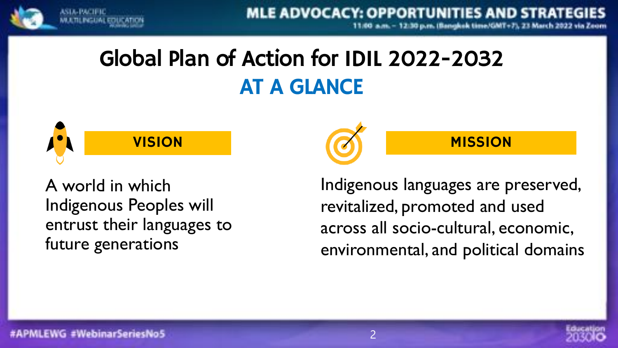

**MLE ADVOCACY: OPPORTUNITIES AND STR** 

# Global Plan of Action for IDIL 2022-2032 AT A GLANCE



A world in which Indigenous Peoples will entrust their languages to future generations



Indigenous languages are preserved, revitalized, promoted and used across all socio-cultural, economic, environmental, and political domains

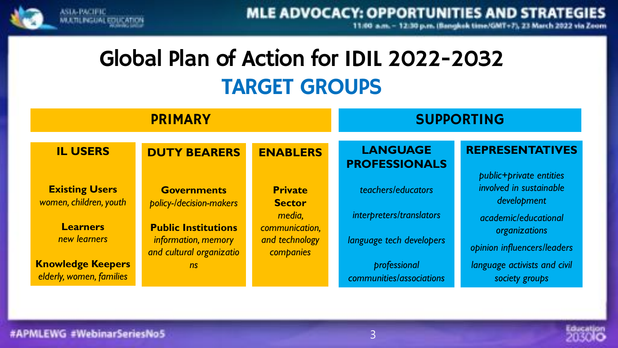

11:00 a.m. - 12:30 p.m. (Bangkok time/GMT+7), 23 March 2022 via Zeom

# Global Plan of Action for IDIL 2022-2032 TARGET GROUPS

| <b>PRIMARY</b>                                       |                                                 |                                 | <b>SUPPORTING</b>                        |                                                                   |
|------------------------------------------------------|-------------------------------------------------|---------------------------------|------------------------------------------|-------------------------------------------------------------------|
| <b>IL USERS</b>                                      | <b>DUTY BEARERS</b>                             | <b>ENABLERS</b>                 | <b>LANGUAGE</b><br><b>PROFESSIONALS</b>  | <b>REPRESENTATIVES</b>                                            |
| <b>Existing Users</b><br>women, children, youth      | <b>Governments</b><br>policy-/decision-makers   | <b>Private</b><br><b>Sector</b> | teachers/educators                       | public+private entities<br>involved in sustainable<br>development |
| <b>Learners</b>                                      | <b>Public Institutions</b>                      | media,<br>communication,        | interpreters/translators                 | academic/educational<br>organizations                             |
| new learners                                         | information, memory<br>and cultural organizatio | and technology<br>companies     | language tech developers                 | opinion influencers/leaders                                       |
| <b>Knowledge Keepers</b><br>elderly, women, families | ns                                              |                                 | professional<br>communities/associations | language activists and civil<br>society groups                    |



#APMLEWG #WebinarSeriesNo5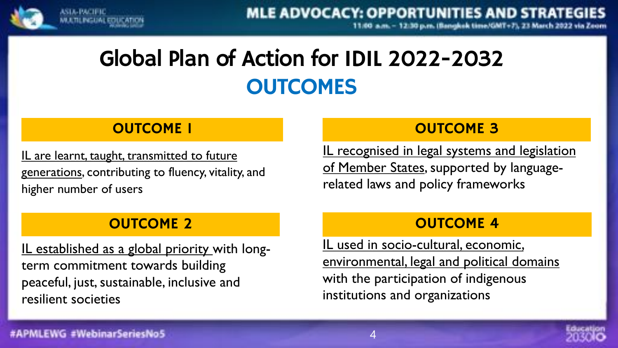

:30 p.m. (Bangkok time/GMT+7), 23 March

# Global Plan of Action for IDIL 2022-2032 **OUTCOMES**

#### **OUTCOME I**

IL are learnt, taught, transmitted to future generations, contributing to fluency, vitality, and higher number of users

#### OUTCOME 3

IL recognised in legal systems and legislation of Member States, supported by languagerelated laws and policy frameworks

#### OUTCOME 2

IL established as a global priority with longterm commitment towards building peaceful, just, sustainable, inclusive and resilient societies

#### OUTCOME 4

IL used in socio-cultural, economic, environmental, legal and political domains with the participation of indigenous institutions and organizations

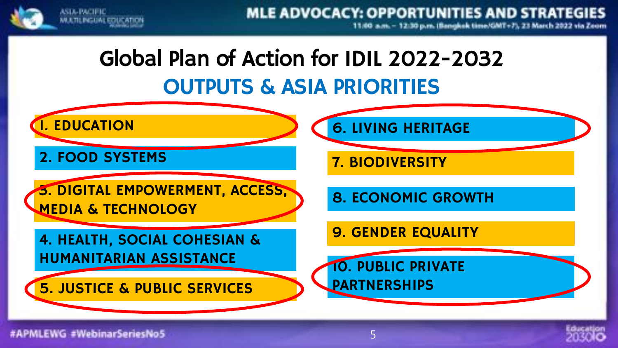

**MLE ADVOCACY: OPPORTUNITIES AND STRATEGIES** 

30 p.m. (Bangkok time/GMT+7), 23 March

# Global Plan of Action for IDIL 2022-2032 OUTPUTS & ASIA PRIORITIES

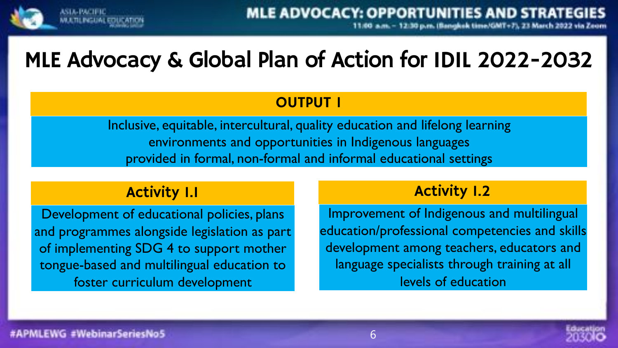

# MLE Advocacy & Global Plan of Action for IDIL 2022-2032

#### **OUTPUT I**

Inclusive, equitable, intercultural, quality education and lifelong learning environments and opportunities in Indigenous languages provided in formal, non-formal and informal educational settings

Development of educational policies, plans and programmes alongside legislation as part of implementing SDG 4 to support mother tongue-based and multilingual education to foster curriculum development

### Activity 1.1 Activity 1.2

Improvement of Indigenous and multilingual education/professional competencies and skills development among teachers, educators and language specialists through training at all levels of education

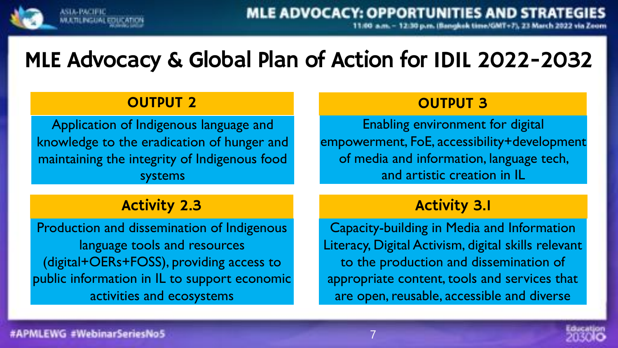

# MLE Advocacy & Global Plan of Action for IDIL 2022-2032

#### OUTPUT 2

Application of Indigenous language and knowledge to the eradication of hunger and maintaining the integrity of Indigenous food systems

#### OUTPUT 3

Enabling environment for digital empowerment, FoE, accessibility+development of media and information, language tech, and artistic creation in IL

### Activity 2.3 Activity 2.3

Production and dissemination of Indigenous language tools and resources (digital+OERs+FOSS), providing access to public information in IL to support economic activities and ecosystems

Capacity-building in Media and Information Literacy, Digital Activism, digital skills relevant to the production and dissemination of appropriate content, tools and services that are open, reusable, accessible and diverse

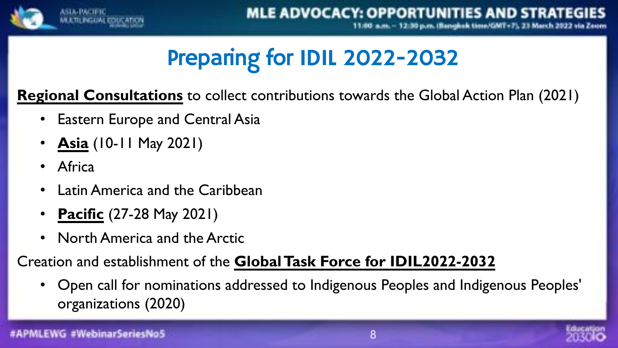

# Preparing for IDIL 2022-2032

**Regional Consultations** to collect contributions towards the Global Action Plan (2021)

- **Eastern Europe and Central Asia**
- **Asia** (10-11 May 2021)
- **Africa**
- Latin America and the Caribbean
- **Pacific** (27-28 May 2021)
- North America and the Arctic

Creation and establishment of the **Global Task Force for IDIL2022-2032**

• Open call for nominations addressed to Indigenous Peoples and Indigenous Peoples' organizations (2020)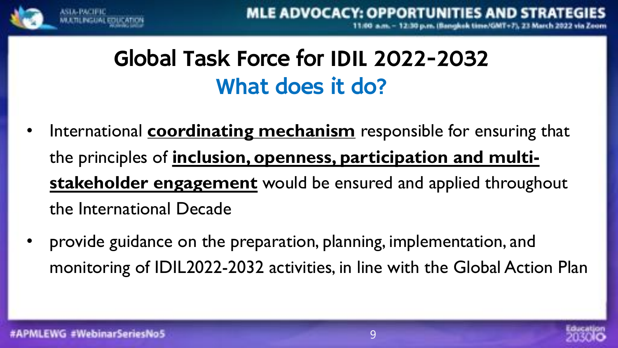

# Global Task Force for IDIL 2022-2032 What does it do?

- International **coordinating mechanism** responsible for ensuring that the principles of **inclusion, openness, participation and multistakeholder engagement** would be ensured and applied throughout the International Decade
- provide guidance on the preparation, planning, implementation, and monitoring of IDIL2022-2032 activities, in line with the Global Action Plan

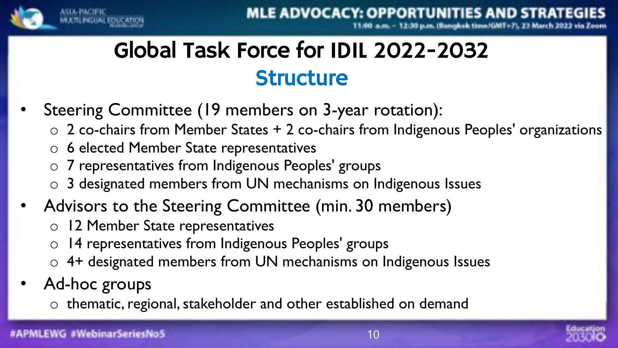

# Global Task Force for IDIL 2022-2032 **Structure**

- Steering Committee (19 members on 3-year rotation):
	- o 2 co-chairs from Member States + 2 co-chairs from Indigenous Peoples' organizations
	- o 6 elected Member State representatives
	- o 7 representatives from Indigenous Peoples' groups
	- o 3 designated members from UN mechanisms on Indigenous Issues
- Advisors to the Steering Committee (min. 30 members)
	- o 12 Member State representatives
	- o 14 representatives from Indigenous Peoples' groups
	- o 4+ designated members from UN mechanisms on Indigenous Issues
- Ad-hoc groups
	- o thematic, regional, stakeholder and other established on demand

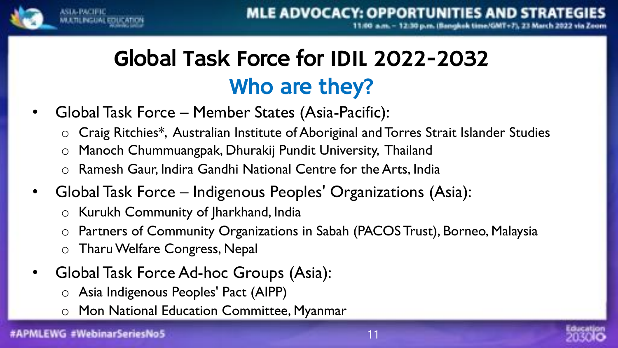

# Global Task Force for IDIL 2022-2032 Who are they?

- Global Task Force Member States (Asia-Pacific):
	- o Craig Ritchies\*, Australian Institute of Aboriginal and Torres Strait Islander Studies
	- o Manoch Chummuangpak, Dhurakij Pundit University, Thailand
	- o Ramesh Gaur, Indira Gandhi National Centre for the Arts, India
- Global Task Force Indigenous Peoples' Organizations (Asia):
	- o Kurukh Community of Jharkhand, India
	- o Partners of Community Organizations in Sabah (PACOS Trust), Borneo, Malaysia
	- o Tharu Welfare Congress, Nepal
- Global Task Force Ad-hoc Groups (Asia):
	- o Asia Indigenous Peoples' Pact (AIPP)
	- o Mon National Education Committee, Myanmar

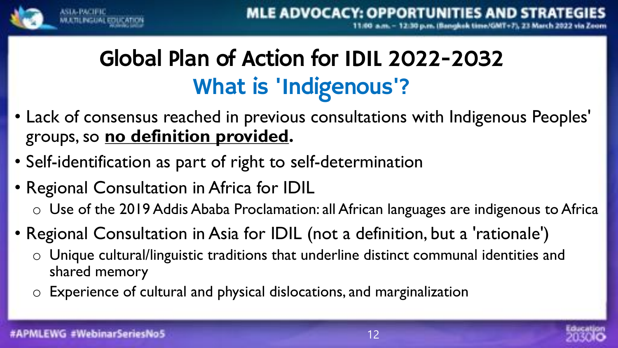

# Global Plan of Action for IDIL 2022-2032 What is 'Indigenous'?

- Lack of consensus reached in previous consultations with Indigenous Peoples' groups, so **no definition provided.**
- Self-identification as part of right to self-determination
- Regional Consultation in Africa for IDIL o Use of the 2019 Addis Ababa Proclamation: all African languages are indigenous to Africa
- Regional Consultation in Asia for IDIL (not a definition, but a 'rationale')
	- o Unique cultural/linguistic traditions that underline distinct communal identities and shared memory
	- o Experience of cultural and physical dislocations, and marginalization

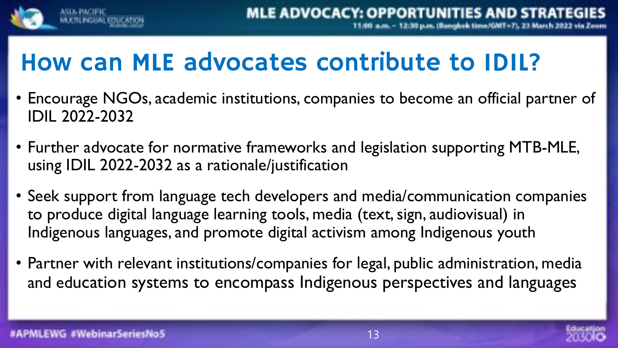

# How can MLE advocates contribute to IDIL?

- Encourage NGOs, academic institutions, companies to become an official partner of IDIL 2022-2032
- Further advocate for normative frameworks and legislation supporting MTB-MLE, using IDIL 2022-2032 as a rationale/justification
- Seek support from language tech developers and media/communication companies to produce digital language learning tools, media (text, sign, audiovisual) in Indigenous languages, and promote digital activism among Indigenous youth
- Partner with relevant institutions/companies for legal, public administration, media and education systems to encompass Indigenous perspectives and languages